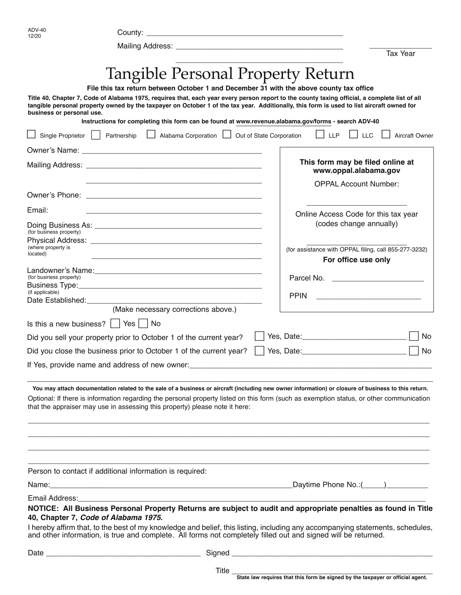| <b>ADV-40</b><br>12/20            |                                                                                                                                                       |                                                                                                                                                                                                                                                                                                |                       |
|-----------------------------------|-------------------------------------------------------------------------------------------------------------------------------------------------------|------------------------------------------------------------------------------------------------------------------------------------------------------------------------------------------------------------------------------------------------------------------------------------------------|-----------------------|
|                                   |                                                                                                                                                       |                                                                                                                                                                                                                                                                                                |                       |
|                                   |                                                                                                                                                       | <b>Tax Year</b>                                                                                                                                                                                                                                                                                |                       |
|                                   | <b>Tangible Personal Property Return</b>                                                                                                              |                                                                                                                                                                                                                                                                                                |                       |
|                                   | File this tax return between October 1 and December 31 with the above county tax office                                                               |                                                                                                                                                                                                                                                                                                |                       |
| business or personal use.         |                                                                                                                                                       | Title 40, Chapter 7, Code of Alabama 1975, requires that, each year every person report to the county taxing official, a complete list of all<br>tangible personal property owned by the taxpayer on October 1 of the tax year. Additionally, this form is used to list aircraft owned for     |                       |
| Single Proprietor     Partnership | Instructions for completing this form can be found at www.revenue.alabama.gov/forms - search ADV-40<br>Alabama Corporation   Out of State Corporation | <b>LLP</b><br><b>LLC</b>                                                                                                                                                                                                                                                                       | <b>Aircraft Owner</b> |
|                                   |                                                                                                                                                       |                                                                                                                                                                                                                                                                                                |                       |
|                                   |                                                                                                                                                       | This form may be filed online at<br>www.oppal.alabama.gov                                                                                                                                                                                                                                      |                       |
|                                   |                                                                                                                                                       | <b>OPPAL Account Number:</b>                                                                                                                                                                                                                                                                   |                       |
| Email:                            |                                                                                                                                                       |                                                                                                                                                                                                                                                                                                |                       |
| (for business property)           |                                                                                                                                                       | Online Access Code for this tax year<br>(codes change annually)                                                                                                                                                                                                                                |                       |
| (where property is<br>located)    |                                                                                                                                                       | (for assistance with OPPAL filing, call 855-277-3232)                                                                                                                                                                                                                                          |                       |
|                                   |                                                                                                                                                       | For office use only                                                                                                                                                                                                                                                                            |                       |
| (for business property)           |                                                                                                                                                       |                                                                                                                                                                                                                                                                                                |                       |
| (if applicable)                   |                                                                                                                                                       | <b>PPIN</b><br><u> 1980 - Jan James James Barnett, fransk politik (d. 1980)</u>                                                                                                                                                                                                                |                       |
|                                   | (Make necessary corrections above.)                                                                                                                   |                                                                                                                                                                                                                                                                                                |                       |
|                                   | Is this a new business? $\vert$ $\vert$ Yes $\vert$ No                                                                                                |                                                                                                                                                                                                                                                                                                |                       |
|                                   | Did you sell your property prior to October 1 of the current year?                                                                                    |                                                                                                                                                                                                                                                                                                | No                    |
|                                   | Did you close the business prior to October 1 of the current year?                                                                                    |                                                                                                                                                                                                                                                                                                | <b>No</b>             |
|                                   | If Yes, provide name and address of new owner:                                                                                                        | <u> 2002 - Jan James James James James James James James James James James James James James James James James J</u>                                                                                                                                                                           |                       |
|                                   | that the appraiser may use in assessing this property) please note it here:                                                                           | You may attach documentation related to the sale of a business or aircraft (including new owner information) or closure of business to this return.<br>Optional: If there is information regarding the personal property listed on this form (such as exemption status, or other communication |                       |
|                                   | Person to contact if additional information is required:                                                                                              |                                                                                                                                                                                                                                                                                                |                       |
|                                   |                                                                                                                                                       |                                                                                                                                                                                                                                                                                                |                       |
|                                   | 40, Chapter 7, Code of Alabama 1975.                                                                                                                  | NOTICE: All Business Personal Property Returns are subject to audit and appropriate penalties as found in Title                                                                                                                                                                                |                       |
|                                   | and other information, is true and complete. All forms not completely filled out and signed will be returned.                                         | I hereby affirm that, to the best of my knowledge and belief, this listing, including any accompanying statements, schedules,                                                                                                                                                                  |                       |
|                                   |                                                                                                                                                       |                                                                                                                                                                                                                                                                                                |                       |

Title \_\_\_\_\_\_\_\_\_\_\_\_\_\_\_\_\_\_\_\_\_\_\_\_\_\_\_\_\_\_\_\_\_\_\_\_\_\_\_\_\_\_\_\_\_\_\_\_ **State law requires that this form be signed by the taxpayer or official agent.**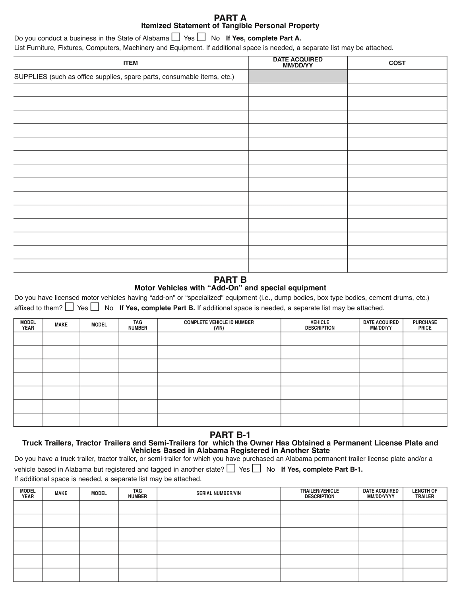## **PART A Itemized Statement of Tangible Personal Property**

Do you conduct a business in the State of Alabama  $\Box$  Yes  $\Box$  No **If Yes, complete Part A.** List Furniture, Fixtures, Computers, Machinery and Equipment. If additional space is needed, a separate list may be attached.

| <b>ITEM</b>                                                             | DATE ACQUIRED<br>MM/DD/YY | <b>COST</b> |
|-------------------------------------------------------------------------|---------------------------|-------------|
| SUPPLIES (such as office supplies, spare parts, consumable items, etc.) |                           |             |
|                                                                         |                           |             |
|                                                                         |                           |             |
|                                                                         |                           |             |
|                                                                         |                           |             |
|                                                                         |                           |             |
|                                                                         |                           |             |
|                                                                         |                           |             |
|                                                                         |                           |             |
|                                                                         |                           |             |
|                                                                         |                           |             |
|                                                                         |                           |             |
|                                                                         |                           |             |
|                                                                         |                           |             |
|                                                                         |                           |             |

# **PART B**

## **Motor Vehicles with "Add-On" and special equipment**

Do you have licensed motor vehicles having "add-on" or "specialized" equipment (i.e., dump bodies, box type bodies, cement drums, etc.) affixed to them?  $\Box$  Yes  $\Box$  No If Yes, complete Part B. If additional space is needed, a separate list may be attached.

| <b>MODEL</b><br><b>YEAR</b> | <b>MAKE</b> | <b>MODEL</b> | TAG<br><b>NUMBER</b> | <b>COMPLETE VEHICLE ID NUMBER</b><br>(VIN) | <b>VEHICLE</b><br><b>DESCRIPTION</b> | <b>DATE ACQUIRED</b><br>MM/DD/YY | <b>PURCHASE</b><br><b>PRICE</b> |
|-----------------------------|-------------|--------------|----------------------|--------------------------------------------|--------------------------------------|----------------------------------|---------------------------------|
|                             |             |              |                      |                                            |                                      |                                  |                                 |
|                             |             |              |                      |                                            |                                      |                                  |                                 |
|                             |             |              |                      |                                            |                                      |                                  |                                 |
|                             |             |              |                      |                                            |                                      |                                  |                                 |
|                             |             |              |                      |                                            |                                      |                                  |                                 |
|                             |             |              |                      |                                            |                                      |                                  |                                 |
|                             |             |              |                      |                                            |                                      |                                  |                                 |

## **PART B-1**

### **Truck Trailers, Tractor Trailers and Semi-Trailers for which the Owner Has Obtained a Permanent License Plate and Vehicles Based in Alabama Registered in Another State**

| Do you have a truck trailer, tractor trailer, or semi-trailer for which you have purchased an Alabama permanent trailer license plate and/or a |
|------------------------------------------------------------------------------------------------------------------------------------------------|
| vehicle based in Alabama but registered and tagged in another state? $\Box$ Yes $\Box$ No If Yes, complete Part B-1.                           |
| If additional space is needed, a separate list may be attached.                                                                                |

| <b>MODEL</b><br><b>YEAR</b> | <b>MAKE</b> | <b>MODEL</b> | TAG<br><b>NUMBER</b> | <b>SERIAL NUMBER/VIN</b> | <b>TRAILER/VEHICLE</b><br><b>DESCRIPTION</b> | <b>DATE ACQUIRED</b><br>MM/DD/YYYY | <b>LENGTH OF</b><br><b>TRAILER</b> |
|-----------------------------|-------------|--------------|----------------------|--------------------------|----------------------------------------------|------------------------------------|------------------------------------|
|                             |             |              |                      |                          |                                              |                                    |                                    |
|                             |             |              |                      |                          |                                              |                                    |                                    |
|                             |             |              |                      |                          |                                              |                                    |                                    |
|                             |             |              |                      |                          |                                              |                                    |                                    |
|                             |             |              |                      |                          |                                              |                                    |                                    |
|                             |             |              |                      |                          |                                              |                                    |                                    |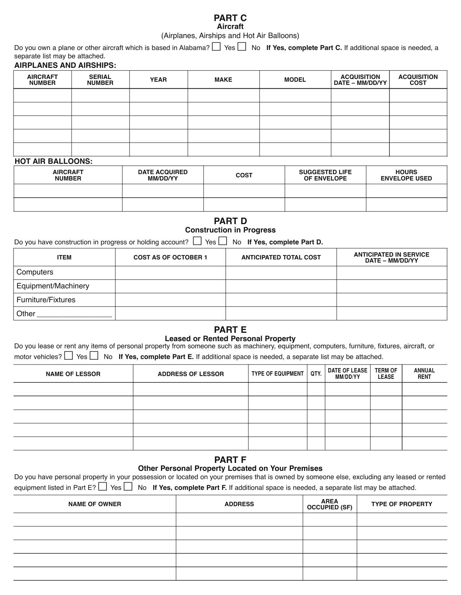### **PART C Aircraft**

(Airplanes, Airships and Hot Air Balloons)

Do you own a plane or other aircraft which is based in Alabama?  $\Box$  Yes  $\Box$  No **If Yes, complete Part C.** If additional space is needed, a separate list may be attached.

### **AIRPLANES AND AIRSHIPS:**

| <b>AIRCRAFT</b><br><b>NUMBER</b> | <b>SERIAL</b><br><b>NUMBER</b> | <b>YEAR</b> | <b>MAKE</b> | <b>MODEL</b> | <b>ACQUISITION</b><br>  DATE – MM/DD/YY | <b>ACQUISITION</b><br><b>COST</b> |
|----------------------------------|--------------------------------|-------------|-------------|--------------|-----------------------------------------|-----------------------------------|
|                                  |                                |             |             |              |                                         |                                   |
|                                  |                                |             |             |              |                                         |                                   |
|                                  |                                |             |             |              |                                         |                                   |
|                                  |                                |             |             |              |                                         |                                   |
|                                  |                                |             |             |              |                                         |                                   |

## **HOT AIR BALLOONS:**

| <b>AIRCRAFT</b><br><b>NUMBER</b> | <b>DATE ACQUIRED</b><br>MM/DD/YY | <b>COST</b> | <b>SUGGESTED LIFE</b><br>OF ENVELOPE | <b>HOURS</b><br><b>ENVELOPE USED</b> |
|----------------------------------|----------------------------------|-------------|--------------------------------------|--------------------------------------|
|                                  |                                  |             |                                      |                                      |
|                                  |                                  |             |                                      |                                      |

## **PART D Construction in Progress**

Do you have construction in progress or holding account?  $\Box$  Yes  $\Box$  No **If Yes, complete Part D.** 

| <b>ITEM</b>               | <b>COST AS OF OCTOBER 1</b> | <b>ANTICIPATED TOTAL COST</b> | <b>ANTICIPATED IN SERVICE</b><br>DATE - MM/DD/YY |
|---------------------------|-----------------------------|-------------------------------|--------------------------------------------------|
| Computers                 |                             |                               |                                                  |
| Equipment/Machinery       |                             |                               |                                                  |
| <b>Furniture/Fixtures</b> |                             |                               |                                                  |
| Other                     |                             |                               |                                                  |

### **PART E Leased or Rented Personal Property**

| Do you lease or rent any items of personal property from someone such as machinery, equipment, computers, furniture, fixtures, aircraft, or |  |
|---------------------------------------------------------------------------------------------------------------------------------------------|--|
| motor vehicles? $\Box$ Yes $\Box$ No If Yes, complete Part E. If additional space is needed, a separate list may be attached.               |  |

| <b>NAME OF LESSOR</b> | <b>ADDRESS OF LESSOR</b> | <b>TYPE OF EQUIPMENT</b> | QTY. | DATE OF LEASE  <br>MM/DD/YY | <b>TERM OF</b><br><b>LEASE</b> | <b>ANNUAL</b><br><b>RENT</b> |
|-----------------------|--------------------------|--------------------------|------|-----------------------------|--------------------------------|------------------------------|
|                       |                          |                          |      |                             |                                |                              |
|                       |                          |                          |      |                             |                                |                              |
|                       |                          |                          |      |                             |                                |                              |
|                       |                          |                          |      |                             |                                |                              |
|                       |                          |                          |      |                             |                                |                              |

### **PART F Other Personal Property Located on Your Premises**

| Do you have personal property in your possession or located on your premises that is owned by someone else, excluding any leased or rented   |
|----------------------------------------------------------------------------------------------------------------------------------------------|
| equipment listed in Part $E$ ? $\Box$ Yes $\Box$ No If Yes, complete Part F. If additional space is needed, a separate list may be attached. |

| <b>NAME OF OWNER</b> | <b>ADDRESS</b> | <b>AREA</b><br><b>OCCUPIED (SF)</b> | <b>TYPE OF PROPERTY</b> |
|----------------------|----------------|-------------------------------------|-------------------------|
|                      |                |                                     |                         |
|                      |                |                                     |                         |
|                      |                |                                     |                         |
|                      |                |                                     |                         |
|                      |                |                                     |                         |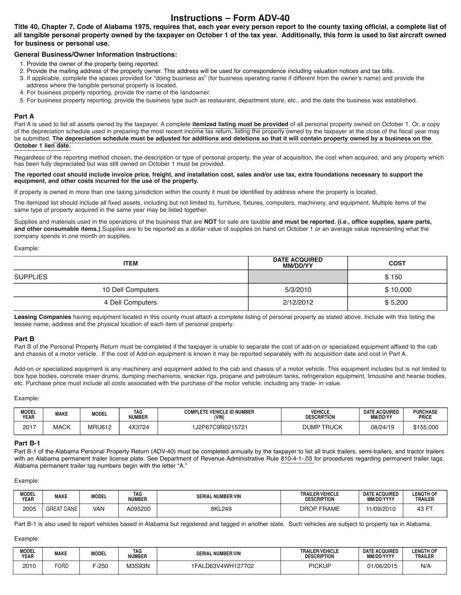# **Instructions – Form ADV-40**

**Title 40, Chapter 7, Code of Alabama 1975, requires that, each year every person report to the county taxing official, a complete list of all tangible personal property owned by the taxpayer on October 1 of the tax year. Additionally, this form is used to list aircraft owned for business or personal use.** 

### **General Business/Owner Information Instructions:**

- 1. Provide the owner of the property being reported.
- 2. Provide the mailing address of the property owner. This address will be used for correspondence including valuation notices and tax bills.
- 3. If applicable, complete the spaces provided for "doing business as" (for business operating name if different from the owner's name) and provide the address where the tangible personal property is located.
- 4. For business property reporting, provide the name of the landowner.
- 5. For business property reporting, provide the business type such as restaurant, department store, etc., and the date the business was established.

#### **Part A**

Part A is used to list all assets owned by the taxpayer. A complete **itemized listing must be provided** of all personal property owned on October 1. Or, a copy of the depreciation schedule used in preparing the most recent income tax return, listing the property owned by the taxpayer at the close of the fiscal year may be submitted. **The depreciation schedule must be adjusted for additions and deletions so that it will contain property owned by a business on the October 1 lien date.**

Regardless of the reporting method chosen, the description or type of personal property, the year of acquisition, the cost when acquired, and any property which has been fully depreciated but was still owned on October 1 must be provided.

#### **The reported cost should include invoice price, freight, and installation cost, sales and/or use tax, extra foundations necessary to support the equipment, and other costs incurred for the use of the property.**

If property is owned in more than one taxing jurisdiction within the county it must be identified by address where the property is located.

The itemized list should include all fixed assets, including but not limited to, furniture, fixtures, computers, machinery, and equipment. Multiple items of the same type of property acquired in the same year may be listed together.

Supplies and materials used in the operations of the business that are **NOT** for sale are taxable **and must be reported. (i.e., office supplies, spare parts, and other consumable items.)** Supplies are to be reported as a dollar value of supplies on hand on October 1 or an average value representing what the company spends in one month on supplies.

#### Example:

| <b>ITEM</b>       | <b>DATE ACQUIRED</b><br><b>MM/DD/YY</b> | <b>COST</b> |  |
|-------------------|-----------------------------------------|-------------|--|
| <b>SUPPLIES</b>   |                                         | \$150       |  |
| 10 Dell Computers | 5/3/2010                                | \$10,000    |  |
| 4 Dell Computers  | 2/12/2012                               | \$5,200     |  |

Leasing Companies having equipment located in this county must attach a complete listing of personal property as stated above. Include with this listing the lessee name, address and the physical location of each item of personal property.

#### **Part B**

Part B of the Personal Property Return must be completed if the taxpayer is unable to separate the cost of add-on or specialized equipment affixed to the cab and chassis of a motor vehicle. If the cost of Add-on equipment is known it may be reported separately with its acquisition date and cost in Part A.

Add-on or specialized equipment is any machinery and equipment added to the cab and chassis of a motor vehicle. This equipment includes but is not limited to box type bodies, concrete mixer drums, dumping mechanisms, wrecker rigs, propane and petroleum tanks, refrigeration equipment, limousine and hearse bodies, etc. Purchase price must include all costs associated with the purchase of the motor vehicle, including any trade- in value.

Example:

| <b>MODEL</b><br><b>YEAR</b> | <b>MAKE</b> | <b>MODEL</b>  | TAG<br><b>NUMBER</b> | <b>COMPLETE VEHICLE ID NUMBER</b><br>(VIN) | <b>VEHICLE</b><br><b>DESCRIPTION</b> | <b>DATE ACQUIRED</b><br>MM/DD/YY | <b>PURCHASE</b><br><b>PRICE</b> |
|-----------------------------|-------------|---------------|----------------------|--------------------------------------------|--------------------------------------|----------------------------------|---------------------------------|
| 2017                        | <b>MACK</b> | <b>MRU612</b> | 4X3724               | 1J2P67C9R0215721                           | <b>DUMP TRUCK</b>                    | 08/24/19                         | \$155,000                       |

#### **Part B-1**

Part B-1 of the Alabama Personal Property Return (ADV-40) must be completed annually by the taxpayer to list all truck trailers, semi-trailers, and tractor trailers with an Alabama permanent trailer license plate. See Department of Revenue Administrative Rule 810-4-1-.03 for procedures regarding permanent trailer tags. Alabama permanent trailer tag numbers begin with the letter "A."

#### Example:

| <b>MODEL</b><br><b>YEAR</b> | <b>MAKE</b>            | <b>MODEL</b> | <b>TAG</b><br><b>NUMBER</b> | NUMBER/VIN<br><b>SERIAL</b> | <b>TRAILER/VEHICLE</b><br><b>DESCRIPTION</b> | <b>DATE ACQUIRED</b><br>MM/DD/YYYY | <b>LENGTH OF</b><br><b>TRAILER</b> |
|-----------------------------|------------------------|--------------|-----------------------------|-----------------------------|----------------------------------------------|------------------------------------|------------------------------------|
| 2005                        | <b>AT DANE</b><br>GREA | VAN          | A095200                     | 8KL249                      | <b>FRAME</b><br><b>DROP</b>                  | 11/09/2010                         | $\sqrt{2}$<br>12<br>ו טד           |

Part B-1 is also used to report vehicles based in Alabama but registered and tagged in another state. Such vehicles are subject to property tax in Alabama.

### Example:

| <b>MODEL</b><br><b>YEAR</b> | <b>MAKE</b> | <b>MODEL</b> | <b>TAG</b><br><b>NUMBER</b> | NUMBER/VIN<br>SERI  | <b>TRAILER/VEHICLE</b><br><b>DESCRIPTION</b> | <b>DATE ACQUIRED</b><br>MM/DD/YYYY | <b>LENGTH OF</b><br><b>TRAILER</b> |
|-----------------------------|-------------|--------------|-----------------------------|---------------------|----------------------------------------------|------------------------------------|------------------------------------|
| 2010                        | FORD        | $-250$       | <b>M3S93N</b>               | 3V4WH127702<br>D63) | PICKUP                                       | 01/06/2015                         | N/A                                |